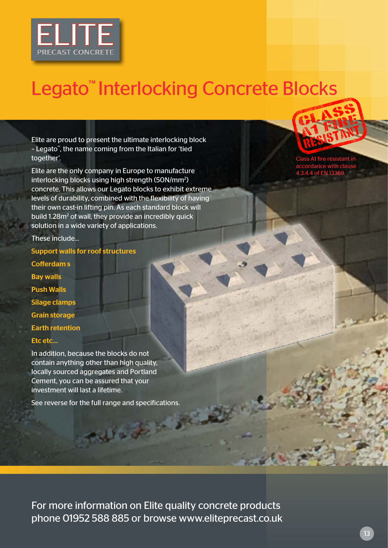

## Legato<sup>™</sup> Interlocking Concrete Blocks

Elite are proud to present the ultimate interlocking block – Legato™, the name coming from the Italian for 'tied together'.

Elite are the only company in Europe to manufacture interlocking blocks using high strength (50N/mm<sup>2</sup>) concrete. This allows our Legato blocks to exhibit extreme levels of durability, combined with the flexibility of having their own cast-in lifting pin. As each standard block will build 1.28m<sup>2</sup> of wall, they provide an incredibly quick solution in a wide variety of applications.

These include...

- Support walls for roof structures
- Cofferdam s Bay walls Push Walls Silage clamps Grain storage Earth retention Etc etc...

In addition, because the blocks do not contain anything other than high quality, locally sourced aggregates and Portland Cement, you can be assured that your investment will last a lifetime.

See reverse for the full range and specifications.

فتعليم

A1 fire resistant in accordance with clause 4.3.4.4 of EN 13369.

For more information on Elite quality concrete products phone 01952 588 885 or browse www.eliteprecast.co.uk